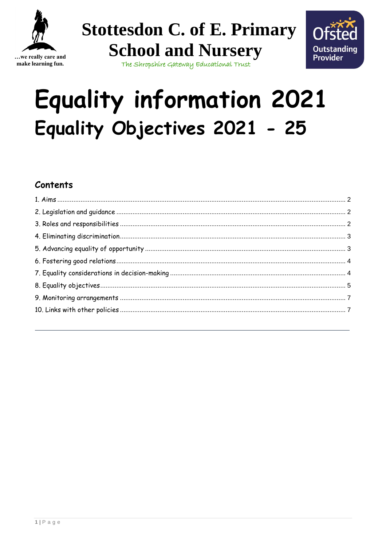

...we really care and make learning fun.

**Stottesdon C. of E. Primary School and Nursery** 



The Shropshire Gateway Educational Trust

# **Equality information 2021** Equality Objectives 2021 - 25

## Contents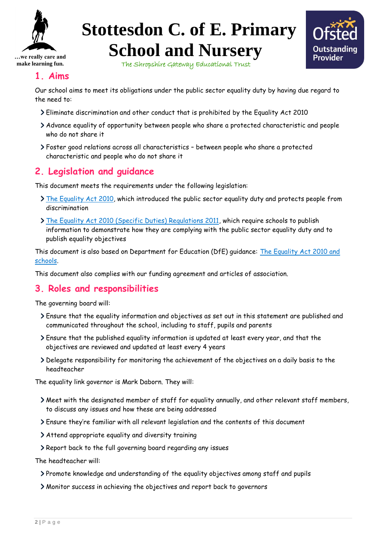



The Shropshire Gateway Educational Trust

#### <span id="page-1-0"></span>**1. Aims**

Our school aims to meet its obligations under the public sector equality duty by having due regard to the need to:

- Eliminate discrimination and other conduct that is prohibited by the Equality Act 2010
- Advance equality of opportunity between people who share a protected characteristic and people who do not share it
- Foster good relations across all characteristics between people who share a protected characteristic and people who do not share it

### <span id="page-1-1"></span>**2. Legislation and guidance**

This document meets the requirements under the following legislation:

- [The Equality Act 2010,](http://www.legislation.gov.uk/ukpga/2010/15/contents) which introduced the public sector equality duty and protects people from discrimination
- [The Equality Act 2010 \(Specific Duties\) Regulations 2011,](http://www.legislation.gov.uk/uksi/2011/2260/contents/made) which require schools to publish information to demonstrate how they are complying with the public sector equality duty and to publish equality objectives

This document is also based on Department for Education (DfE) guidance: The Equality Act 2010 and [schools.](https://www.gov.uk/government/publications/equality-act-2010-advice-for-schools)

This document also complies with our funding agreement and articles of association.

#### <span id="page-1-2"></span>**3. Roles and responsibilities**

The governing board will:

- Ensure that the equality information and objectives as set out in this statement are published and communicated throughout the school, including to staff, pupils and parents
- Ensure that the published equality information is updated at least every year, and that the objectives are reviewed and updated at least every 4 years
- Delegate responsibility for monitoring the achievement of the objectives on a daily basis to the headteacher

The equality link governor is Mark Daborn. They will:

- Meet with the designated member of staff for equality annually, and other relevant staff members, to discuss any issues and how these are being addressed
- Ensure they're familiar with all relevant legislation and the contents of this document
- Attend appropriate equality and diversity training
- Report back to the full governing board regarding any issues

The headteacher will:

- Promote knowledge and understanding of the equality objectives among staff and pupils
- Monitor success in achieving the objectives and report back to governors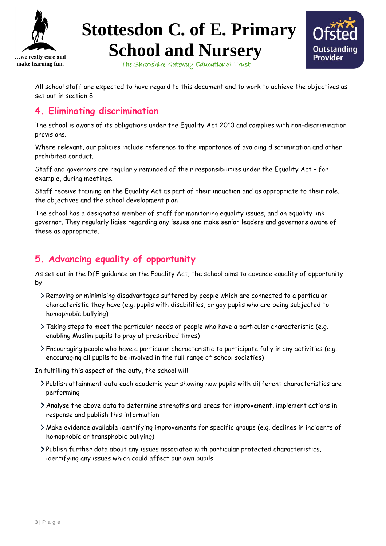



The Shropshire Gateway Educational Trust

All school staff are expected to have regard to this document and to work to achieve the objectives as set out in section 8.

#### <span id="page-2-0"></span>**4. Eliminating discrimination**

The school is aware of its obligations under the Equality Act 2010 and complies with non-discrimination provisions.

Where relevant, our policies include reference to the importance of avoiding discrimination and other prohibited conduct.

Staff and governors are regularly reminded of their responsibilities under the Equality Act – for example, during meetings.

Staff receive training on the Equality Act as part of their induction and as appropriate to their role, the objectives and the school development plan

The school has a designated member of staff for monitoring equality issues, and an equality link governor. They regularly liaise regarding any issues and make senior leaders and governors aware of these as appropriate.

### <span id="page-2-1"></span>**5. Advancing equality of opportunity**

As set out in the DfE guidance on the Equality Act, the school aims to advance equality of opportunity by:

- Removing or minimising disadvantages suffered by people which are connected to a particular characteristic they have (e.g. pupils with disabilities, or gay pupils who are being subjected to homophobic bullying)
- Taking steps to meet the particular needs of people who have a particular characteristic (e.g. enabling Muslim pupils to pray at prescribed times)
- Encouraging people who have a particular characteristic to participate fully in any activities (e.g. encouraging all pupils to be involved in the full range of school societies)

In fulfilling this aspect of the duty, the school will:

- Publish attainment data each academic year showing how pupils with different characteristics are performing
- Analyse the above data to determine strengths and areas for improvement, implement actions in response and publish this information
- Make evidence available identifying improvements for specific groups (e.g. declines in incidents of homophobic or transphobic bullying)
- Publish further data about any issues associated with particular protected characteristics, identifying any issues which could affect our own pupils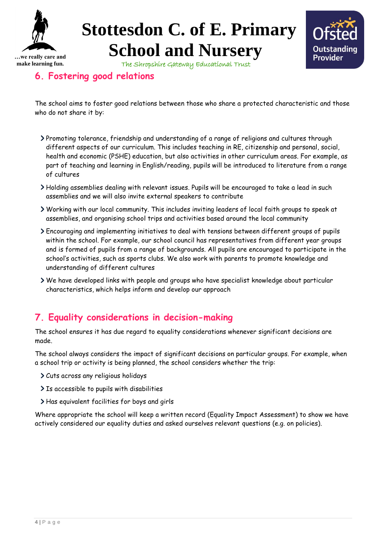

The Shropshire Gateway Educational Trust



## <span id="page-3-0"></span>**6. Fostering good relations**

The school aims to foster good relations between those who share a protected characteristic and those who do not share it by:

- Promoting tolerance, friendship and understanding of a range of religions and cultures through different aspects of our curriculum. This includes teaching in RE, citizenship and personal, social, health and economic (PSHE) education, but also activities in other curriculum areas. For example, as part of teaching and learning in English/reading, pupils will be introduced to literature from a range of cultures
- Holding assemblies dealing with relevant issues. Pupils will be encouraged to take a lead in such assemblies and we will also invite external speakers to contribute
- Working with our local community. This includes inviting leaders of local faith groups to speak at assemblies, and organising school trips and activities based around the local community
- Encouraging and implementing initiatives to deal with tensions between different groups of pupils within the school. For example, our school council has representatives from different year groups and is formed of pupils from a range of backgrounds. All pupils are encouraged to participate in the school's activities, such as sports clubs. We also work with parents to promote knowledge and understanding of different cultures
- We have developed links with people and groups who have specialist knowledge about particular characteristics, which helps inform and develop our approach

### <span id="page-3-1"></span>**7. Equality considerations in decision-making**

The school ensures it has due regard to equality considerations whenever significant decisions are made.

The school always considers the impact of significant decisions on particular groups. For example, when a school trip or activity is being planned, the school considers whether the trip:

- Cuts across any religious holidays
- > Is accessible to pupils with disabilities
- Has equivalent facilities for boys and girls

Where appropriate the school will keep a written record (Equality Impact Assessment) to show we have actively considered our equality duties and asked ourselves relevant questions (e.g. on policies).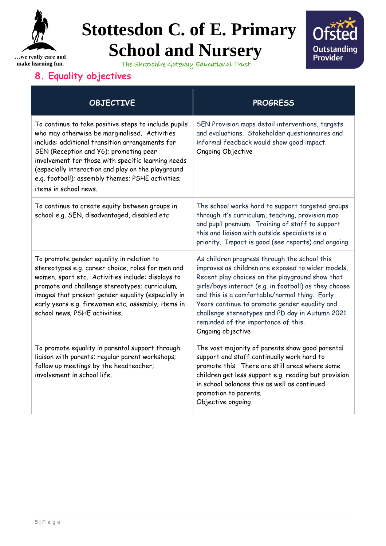



The Shropshire Gateway Educational Trust

## <span id="page-4-0"></span>**8. Equality objectives**

| <b>OBJECTIVE</b>                                                                                                                                                                                                                                                                                                                                                                             | <b>PROGRESS</b>                                                                                                                                                                                                                                                                                                                                                                                                                |
|----------------------------------------------------------------------------------------------------------------------------------------------------------------------------------------------------------------------------------------------------------------------------------------------------------------------------------------------------------------------------------------------|--------------------------------------------------------------------------------------------------------------------------------------------------------------------------------------------------------------------------------------------------------------------------------------------------------------------------------------------------------------------------------------------------------------------------------|
| To continue to take positive steps to include pupils<br>who may otherwise be marginalised. Activities<br>include: additional transition arrangements for<br>SEN (Reception and Y6); promoting peer<br>involvement for those with specific learning needs<br>(especially interaction and play on the playground<br>e.g. football); assembly themes; PSHE activities;<br>items in school news. | SEN Provision maps detail interventions, targets<br>and evaluations. Stakeholder questionnaires and<br>informal feedback would show good impact.<br>Ongoing Objective                                                                                                                                                                                                                                                          |
| To continue to create equity between groups in<br>school e.g. SEN, disadvantaged, disabled etc                                                                                                                                                                                                                                                                                               | The school works hard to support targeted groups<br>through it's curriculum, teaching, provision map<br>and pupil premium. Training of staff to support<br>this and liaison with outside specialists is a<br>priority. Impact is good (see reports) and ongoing.                                                                                                                                                               |
| To promote gender equality in relation to<br>stereotypes e.g. career choice, roles for men and<br>women, sport etc. Activities include: displays to<br>promote and challenge stereotypes; curriculum;<br>images that present gender equality (especially in<br>early years e.g. firewomen etc; assembly; items in<br>school news; PSHE activities.                                           | As children progress through the school this<br>improves as children are exposed to wider models.<br>Recent play choices on the playground show that<br>girls/boys interact (e.g. in football) as they choose<br>and this is a comfortable/normal thing. Early<br>Years continue to promote gender equality and<br>challenge stereotypes and PD day in Autumn 2021<br>reminded of the importance of this.<br>Ongoing objective |
| To promote equality in parental support through:<br>liaison with parents; regular parent workshops;<br>follow up meetings by the headteacher;<br>involvement in school life.                                                                                                                                                                                                                 | The vast majority of parents show good parental<br>support and staff continually work hard to<br>promote this. There are still areas where some<br>children get less support e.g. reading but provision<br>in school balances this as well as continued<br>promotion to parents.<br>Objective ongoing                                                                                                                          |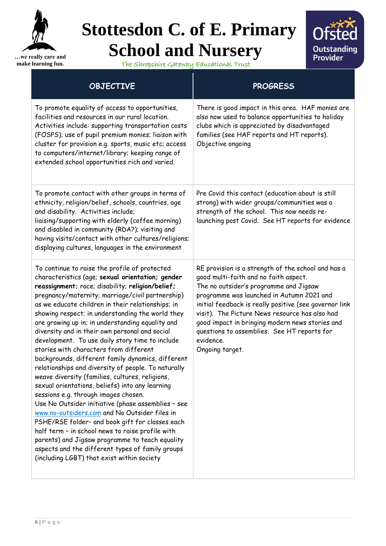



The Shropshire Gateway Educational Trust

| <b>OBJECTIVE</b>                                                                                                                                                                                                                                                                                                                                                                                                                                                                                                                                                                                                                                                                                                                                                                                                                                                                                                                                                                                                                                                                                                                                   | <b>PROGRESS</b>                                                                                                                                                                                                                                                                                                                                                                                                                  |  |
|----------------------------------------------------------------------------------------------------------------------------------------------------------------------------------------------------------------------------------------------------------------------------------------------------------------------------------------------------------------------------------------------------------------------------------------------------------------------------------------------------------------------------------------------------------------------------------------------------------------------------------------------------------------------------------------------------------------------------------------------------------------------------------------------------------------------------------------------------------------------------------------------------------------------------------------------------------------------------------------------------------------------------------------------------------------------------------------------------------------------------------------------------|----------------------------------------------------------------------------------------------------------------------------------------------------------------------------------------------------------------------------------------------------------------------------------------------------------------------------------------------------------------------------------------------------------------------------------|--|
| To promote equality of access to opportunities,<br>facilities and resources in our rural location.<br>Activities include: supporting transportation costs<br>(FOSPS); use of pupil premium monies; liaison with<br>cluster for provision e.g. sports, music etc; access<br>to computers/internet/library; keeping range of<br>extended school opportunities rich and varied.                                                                                                                                                                                                                                                                                                                                                                                                                                                                                                                                                                                                                                                                                                                                                                       | There is good impact in this area. HAF monies are<br>also now used to balance opportunities to holiday<br>clubs which is appreciated by disadvantaged<br>families (see HAF reports and HT reports).<br>Objective ongoing                                                                                                                                                                                                         |  |
| To promote contact with other groups in terms of<br>ethnicity, religion/belief, schools, countries, age<br>and disability. Activities include;<br>liaising/supporting with elderly (coffee morning)<br>and disabled in community (RDA?); visiting and<br>having visits/contact with other cultures/religions;<br>displaying cultures, languages in the environment                                                                                                                                                                                                                                                                                                                                                                                                                                                                                                                                                                                                                                                                                                                                                                                 | Pre Covid this contact (education about is still<br>strong) with wider groups/communities was a<br>strength of the school. This now needs re-<br>launching post Covid. See HT reports for evidence                                                                                                                                                                                                                               |  |
| To continue to raise the profile of protected<br>characteristics (age; sexual orientation; gender<br>reassignment; race; disability; religion/belief;<br>pregnancy/maternity; marriage/civil partnership)<br>as we educate children in their relationships; in<br>showing respect; in understanding the world they<br>are growing up in; in understanding equality and<br>diversity and in their own personal and social<br>development. To use daily story time to include<br>stories with characters from different<br>backgrounds, different family dynamics, different<br>relationships and diversity of people. To naturally<br>weave diversity (families, cultures, religions,<br>sexual orientations, beliefs) into any learning<br>sessions e.g. through images chosen.<br>Use No Outsider initiative (phase assemblies - see<br>www.no-outsiders.com and No Outsider files in<br>PSHE/RSE folder- and book gift for classes each<br>half term - in school news to raise profile with<br>parents) and Jigsaw programme to teach equality<br>aspects and the different types of family groups<br>(including LGBT) that exist within society | RE provision is a strength of the school and has a<br>good multi-faith and no faith aspect.<br>The no outsider's programme and Jigsaw<br>programme was launched in Autumn 2021 and<br>initial feedback is really positive (see governor link<br>visit). The Picture News resource has also had<br>good impact in bringing modern news stories and<br>questions to assemblies. See HT reports for<br>evidence.<br>Ongoing target. |  |